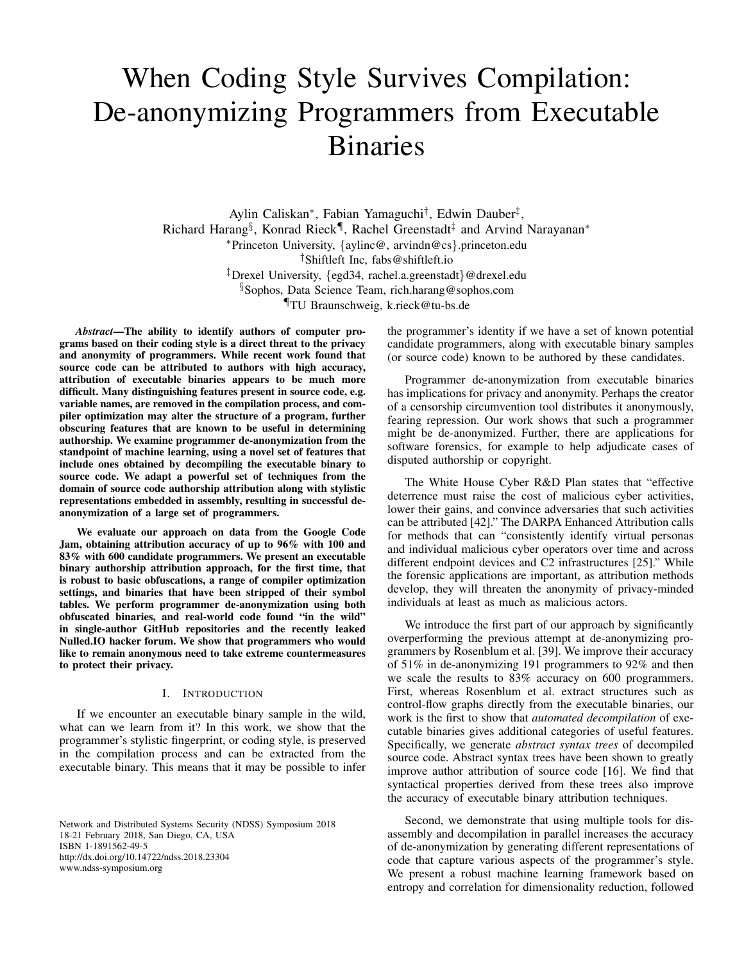# When Coding Style Survives Compilation: De-anonymizing Programmers from Executable Binaries

Aylin Caliskan<sup>∗</sup>, Fabian Yamaguchi<sup>†</sup>, Edwin Dauber<sup>‡</sup>, Richard Harang<sup>§</sup>, Konrad Rieck¶, Rachel Greenstadt<sup>‡</sup> and Arvind Narayanan<sup>∗</sup> <sup>∗</sup>Princeton University, {aylinc@, arvindn@cs}.princeton.edu †Shiftleft Inc, fabs@shiftleft.io ‡Drexel University, {egd34, rachel.a.greenstadt}@drexel.edu §Sophos, Data Science Team, rich.harang@sophos.com ¶TU Braunschweig, k.rieck@tu-bs.de

*Abstract*—The ability to identify authors of computer programs based on their coding style is a direct threat to the privacy and anonymity of programmers. While recent work found that source code can be attributed to authors with high accuracy, attribution of executable binaries appears to be much more difficult. Many distinguishing features present in source code, e.g. variable names, are removed in the compilation process, and compiler optimization may alter the structure of a program, further obscuring features that are known to be useful in determining authorship. We examine programmer de-anonymization from the standpoint of machine learning, using a novel set of features that include ones obtained by decompiling the executable binary to source code. We adapt a powerful set of techniques from the domain of source code authorship attribution along with stylistic representations embedded in assembly, resulting in successful deanonymization of a large set of programmers.

We evaluate our approach on data from the Google Code Jam, obtaining attribution accuracy of up to 96% with 100 and 83% with 600 candidate programmers. We present an executable binary authorship attribution approach, for the first time, that is robust to basic obfuscations, a range of compiler optimization settings, and binaries that have been stripped of their symbol tables. We perform programmer de-anonymization using both obfuscated binaries, and real-world code found "in the wild" in single-author GitHub repositories and the recently leaked Nulled.IO hacker forum. We show that programmers who would like to remain anonymous need to take extreme countermeasures to protect their privacy.

#### I. INTRODUCTION

If we encounter an executable binary sample in the wild, what can we learn from it? In this work, we show that the programmer's stylistic fingerprint, or coding style, is preserved in the compilation process and can be extracted from the executable binary. This means that it may be possible to infer

Network and Distributed Systems Security (NDSS) Symposium 2018 18-21 February 2018, San Diego, CA, USA ISBN 1-1891562-49-5 http://dx.doi.org/10.14722/ndss.2018.23304 www.ndss-symposium.org

the programmer's identity if we have a set of known potential candidate programmers, along with executable binary samples (or source code) known to be authored by these candidates.

Programmer de-anonymization from executable binaries has implications for privacy and anonymity. Perhaps the creator of a censorship circumvention tool distributes it anonymously, fearing repression. Our work shows that such a programmer might be de-anonymized. Further, there are applications for software forensics, for example to help adjudicate cases of disputed authorship or copyright.

The White House Cyber R&D Plan states that "effective deterrence must raise the cost of malicious cyber activities, lower their gains, and convince adversaries that such activities can be attributed [42]." The DARPA Enhanced Attribution calls for methods that can "consistently identify virtual personas and individual malicious cyber operators over time and across different endpoint devices and C2 infrastructures [25]." While the forensic applications are important, as attribution methods develop, they will threaten the anonymity of privacy-minded individuals at least as much as malicious actors.

We introduce the first part of our approach by significantly overperforming the previous attempt at de-anonymizing programmers by Rosenblum et al. [39]. We improve their accuracy of 51% in de-anonymizing 191 programmers to 92% and then we scale the results to 83% accuracy on 600 programmers. First, whereas Rosenblum et al. extract structures such as control-flow graphs directly from the executable binaries, our work is the first to show that *automated decompilation* of executable binaries gives additional categories of useful features. Specifically, we generate *abstract syntax trees* of decompiled source code. Abstract syntax trees have been shown to greatly improve author attribution of source code [16]. We find that syntactical properties derived from these trees also improve the accuracy of executable binary attribution techniques.

Second, we demonstrate that using multiple tools for disassembly and decompilation in parallel increases the accuracy of de-anonymization by generating different representations of code that capture various aspects of the programmer's style. We present a robust machine learning framework based on entropy and correlation for dimensionality reduction, followed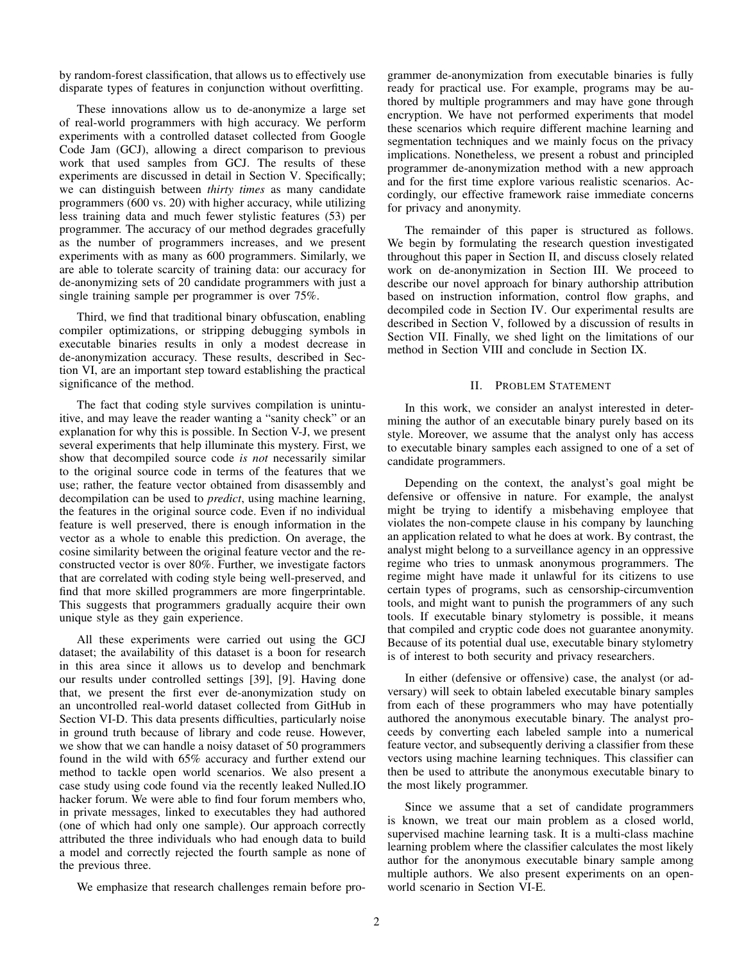by random-forest classification, that allows us to effectively use disparate types of features in conjunction without overfitting.

These innovations allow us to de-anonymize a large set of real-world programmers with high accuracy. We perform experiments with a controlled dataset collected from Google Code Jam (GCJ), allowing a direct comparison to previous work that used samples from GCJ. The results of these experiments are discussed in detail in Section V. Specifically; we can distinguish between *thirty times* as many candidate programmers (600 vs. 20) with higher accuracy, while utilizing less training data and much fewer stylistic features (53) per programmer. The accuracy of our method degrades gracefully as the number of programmers increases, and we present experiments with as many as 600 programmers. Similarly, we are able to tolerate scarcity of training data: our accuracy for de-anonymizing sets of 20 candidate programmers with just a single training sample per programmer is over 75%.

Third, we find that traditional binary obfuscation, enabling compiler optimizations, or stripping debugging symbols in executable binaries results in only a modest decrease in de-anonymization accuracy. These results, described in Section VI, are an important step toward establishing the practical significance of the method.

The fact that coding style survives compilation is unintuitive, and may leave the reader wanting a "sanity check" or an explanation for why this is possible. In Section V-J, we present several experiments that help illuminate this mystery. First, we show that decompiled source code *is not* necessarily similar to the original source code in terms of the features that we use; rather, the feature vector obtained from disassembly and decompilation can be used to *predict*, using machine learning, the features in the original source code. Even if no individual feature is well preserved, there is enough information in the vector as a whole to enable this prediction. On average, the cosine similarity between the original feature vector and the reconstructed vector is over 80%. Further, we investigate factors that are correlated with coding style being well-preserved, and find that more skilled programmers are more fingerprintable. This suggests that programmers gradually acquire their own unique style as they gain experience.

All these experiments were carried out using the GCJ dataset; the availability of this dataset is a boon for research in this area since it allows us to develop and benchmark our results under controlled settings [39], [9]. Having done that, we present the first ever de-anonymization study on an uncontrolled real-world dataset collected from GitHub in Section VI-D. This data presents difficulties, particularly noise in ground truth because of library and code reuse. However, we show that we can handle a noisy dataset of 50 programmers found in the wild with 65% accuracy and further extend our method to tackle open world scenarios. We also present a case study using code found via the recently leaked Nulled.IO hacker forum. We were able to find four forum members who, in private messages, linked to executables they had authored (one of which had only one sample). Our approach correctly attributed the three individuals who had enough data to build a model and correctly rejected the fourth sample as none of the previous three.

We emphasize that research challenges remain before pro-

grammer de-anonymization from executable binaries is fully ready for practical use. For example, programs may be authored by multiple programmers and may have gone through encryption. We have not performed experiments that model these scenarios which require different machine learning and segmentation techniques and we mainly focus on the privacy implications. Nonetheless, we present a robust and principled programmer de-anonymization method with a new approach and for the first time explore various realistic scenarios. Accordingly, our effective framework raise immediate concerns for privacy and anonymity.

The remainder of this paper is structured as follows. We begin by formulating the research question investigated throughout this paper in Section II, and discuss closely related work on de-anonymization in Section III. We proceed to describe our novel approach for binary authorship attribution based on instruction information, control flow graphs, and decompiled code in Section IV. Our experimental results are described in Section V, followed by a discussion of results in Section VII. Finally, we shed light on the limitations of our method in Section VIII and conclude in Section IX.

## II. PROBLEM STATEMENT

In this work, we consider an analyst interested in determining the author of an executable binary purely based on its style. Moreover, we assume that the analyst only has access to executable binary samples each assigned to one of a set of candidate programmers.

Depending on the context, the analyst's goal might be defensive or offensive in nature. For example, the analyst might be trying to identify a misbehaving employee that violates the non-compete clause in his company by launching an application related to what he does at work. By contrast, the analyst might belong to a surveillance agency in an oppressive regime who tries to unmask anonymous programmers. The regime might have made it unlawful for its citizens to use certain types of programs, such as censorship-circumvention tools, and might want to punish the programmers of any such tools. If executable binary stylometry is possible, it means that compiled and cryptic code does not guarantee anonymity. Because of its potential dual use, executable binary stylometry is of interest to both security and privacy researchers.

In either (defensive or offensive) case, the analyst (or adversary) will seek to obtain labeled executable binary samples from each of these programmers who may have potentially authored the anonymous executable binary. The analyst proceeds by converting each labeled sample into a numerical feature vector, and subsequently deriving a classifier from these vectors using machine learning techniques. This classifier can then be used to attribute the anonymous executable binary to the most likely programmer.

Since we assume that a set of candidate programmers is known, we treat our main problem as a closed world, supervised machine learning task. It is a multi-class machine learning problem where the classifier calculates the most likely author for the anonymous executable binary sample among multiple authors. We also present experiments on an openworld scenario in Section VI-E.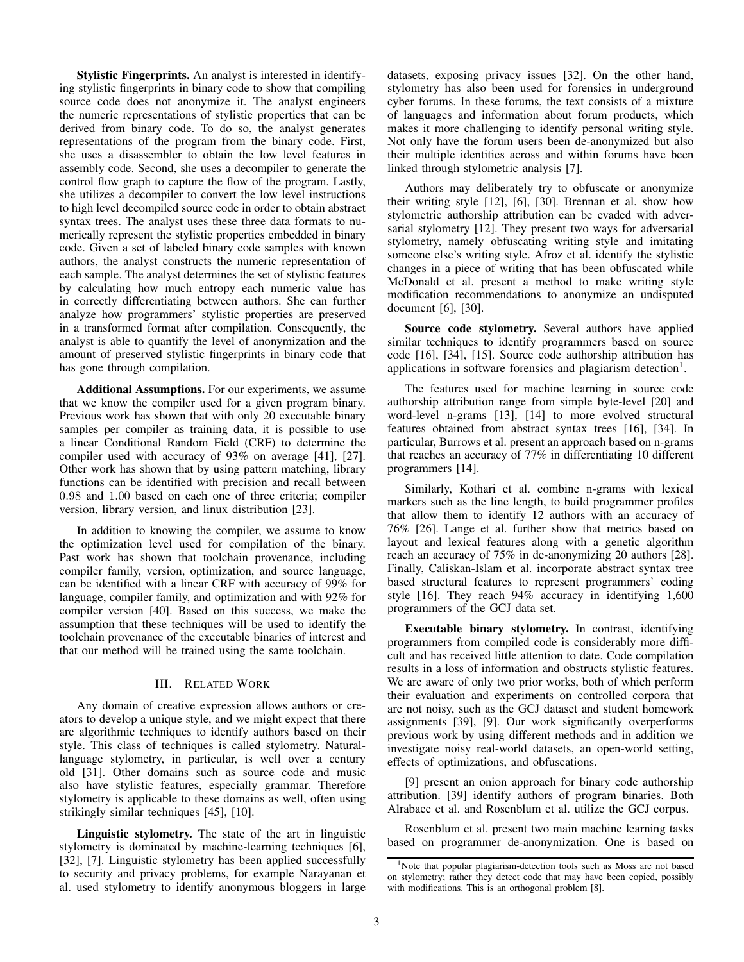Stylistic Fingerprints. An analyst is interested in identifying stylistic fingerprints in binary code to show that compiling source code does not anonymize it. The analyst engineers the numeric representations of stylistic properties that can be derived from binary code. To do so, the analyst generates representations of the program from the binary code. First, she uses a disassembler to obtain the low level features in assembly code. Second, she uses a decompiler to generate the control flow graph to capture the flow of the program. Lastly, she utilizes a decompiler to convert the low level instructions to high level decompiled source code in order to obtain abstract syntax trees. The analyst uses these three data formats to numerically represent the stylistic properties embedded in binary code. Given a set of labeled binary code samples with known authors, the analyst constructs the numeric representation of each sample. The analyst determines the set of stylistic features by calculating how much entropy each numeric value has in correctly differentiating between authors. She can further analyze how programmers' stylistic properties are preserved in a transformed format after compilation. Consequently, the analyst is able to quantify the level of anonymization and the amount of preserved stylistic fingerprints in binary code that has gone through compilation.

Additional Assumptions. For our experiments, we assume that we know the compiler used for a given program binary. Previous work has shown that with only 20 executable binary samples per compiler as training data, it is possible to use a linear Conditional Random Field (CRF) to determine the compiler used with accuracy of 93% on average [41], [27]. Other work has shown that by using pattern matching, library functions can be identified with precision and recall between 0.98 and 1.00 based on each one of three criteria; compiler version, library version, and linux distribution [23].

In addition to knowing the compiler, we assume to know the optimization level used for compilation of the binary. Past work has shown that toolchain provenance, including compiler family, version, optimization, and source language, can be identified with a linear CRF with accuracy of 99% for language, compiler family, and optimization and with 92% for compiler version [40]. Based on this success, we make the assumption that these techniques will be used to identify the toolchain provenance of the executable binaries of interest and that our method will be trained using the same toolchain.

## III. RELATED WORK

Any domain of creative expression allows authors or creators to develop a unique style, and we might expect that there are algorithmic techniques to identify authors based on their style. This class of techniques is called stylometry. Naturallanguage stylometry, in particular, is well over a century old [31]. Other domains such as source code and music also have stylistic features, especially grammar. Therefore stylometry is applicable to these domains as well, often using strikingly similar techniques [45], [10].

Linguistic stylometry. The state of the art in linguistic stylometry is dominated by machine-learning techniques [6], [32], [7]. Linguistic stylometry has been applied successfully to security and privacy problems, for example Narayanan et al. used stylometry to identify anonymous bloggers in large datasets, exposing privacy issues [32]. On the other hand, stylometry has also been used for forensics in underground cyber forums. In these forums, the text consists of a mixture of languages and information about forum products, which makes it more challenging to identify personal writing style. Not only have the forum users been de-anonymized but also their multiple identities across and within forums have been linked through stylometric analysis [7].

Authors may deliberately try to obfuscate or anonymize their writing style [12], [6], [30]. Brennan et al. show how stylometric authorship attribution can be evaded with adversarial stylometry [12]. They present two ways for adversarial stylometry, namely obfuscating writing style and imitating someone else's writing style. Afroz et al. identify the stylistic changes in a piece of writing that has been obfuscated while McDonald et al. present a method to make writing style modification recommendations to anonymize an undisputed document [6], [30].

Source code stylometry. Several authors have applied similar techniques to identify programmers based on source code [16], [34], [15]. Source code authorship attribution has applications in software forensics and plagiarism detection<sup>1</sup>.

The features used for machine learning in source code authorship attribution range from simple byte-level [20] and word-level n-grams [13], [14] to more evolved structural features obtained from abstract syntax trees [16], [34]. In particular, Burrows et al. present an approach based on n-grams that reaches an accuracy of 77% in differentiating 10 different programmers [14].

Similarly, Kothari et al. combine n-grams with lexical markers such as the line length, to build programmer profiles that allow them to identify 12 authors with an accuracy of 76% [26]. Lange et al. further show that metrics based on layout and lexical features along with a genetic algorithm reach an accuracy of 75% in de-anonymizing 20 authors [28]. Finally, Caliskan-Islam et al. incorporate abstract syntax tree based structural features to represent programmers' coding style [16]. They reach 94% accuracy in identifying 1,600 programmers of the GCJ data set.

Executable binary stylometry. In contrast, identifying programmers from compiled code is considerably more difficult and has received little attention to date. Code compilation results in a loss of information and obstructs stylistic features. We are aware of only two prior works, both of which perform their evaluation and experiments on controlled corpora that are not noisy, such as the GCJ dataset and student homework assignments [39], [9]. Our work significantly overperforms previous work by using different methods and in addition we investigate noisy real-world datasets, an open-world setting, effects of optimizations, and obfuscations.

[9] present an onion approach for binary code authorship attribution. [39] identify authors of program binaries. Both Alrabaee et al. and Rosenblum et al. utilize the GCJ corpus.

Rosenblum et al. present two main machine learning tasks based on programmer de-anonymization. One is based on

<sup>&</sup>lt;sup>1</sup>Note that popular plagiarism-detection tools such as Moss are not based on stylometry; rather they detect code that may have been copied, possibly with modifications. This is an orthogonal problem [8].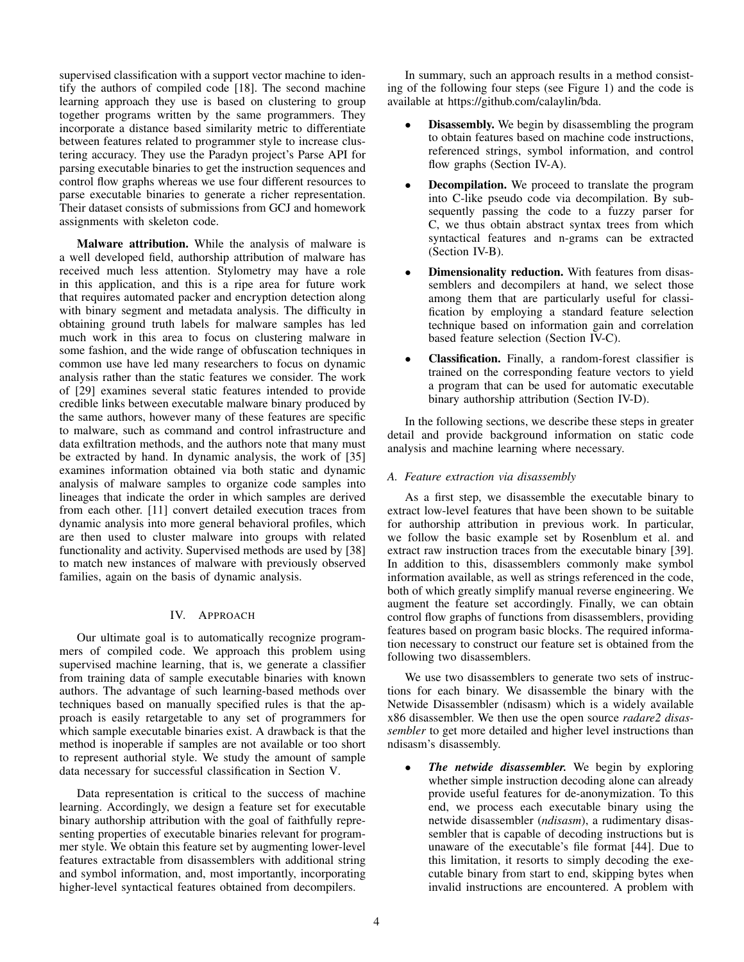supervised classification with a support vector machine to identify the authors of compiled code [18]. The second machine learning approach they use is based on clustering to group together programs written by the same programmers. They incorporate a distance based similarity metric to differentiate between features related to programmer style to increase clustering accuracy. They use the Paradyn project's Parse API for parsing executable binaries to get the instruction sequences and control flow graphs whereas we use four different resources to parse executable binaries to generate a richer representation. Their dataset consists of submissions from GCJ and homework assignments with skeleton code.

Malware attribution. While the analysis of malware is a well developed field, authorship attribution of malware has received much less attention. Stylometry may have a role in this application, and this is a ripe area for future work that requires automated packer and encryption detection along with binary segment and metadata analysis. The difficulty in obtaining ground truth labels for malware samples has led much work in this area to focus on clustering malware in some fashion, and the wide range of obfuscation techniques in common use have led many researchers to focus on dynamic analysis rather than the static features we consider. The work of [29] examines several static features intended to provide credible links between executable malware binary produced by the same authors, however many of these features are specific to malware, such as command and control infrastructure and data exfiltration methods, and the authors note that many must be extracted by hand. In dynamic analysis, the work of [35] examines information obtained via both static and dynamic analysis of malware samples to organize code samples into lineages that indicate the order in which samples are derived from each other. [11] convert detailed execution traces from dynamic analysis into more general behavioral profiles, which are then used to cluster malware into groups with related functionality and activity. Supervised methods are used by [38] to match new instances of malware with previously observed families, again on the basis of dynamic analysis.

# IV. APPROACH

Our ultimate goal is to automatically recognize programmers of compiled code. We approach this problem using supervised machine learning, that is, we generate a classifier from training data of sample executable binaries with known authors. The advantage of such learning-based methods over techniques based on manually specified rules is that the approach is easily retargetable to any set of programmers for which sample executable binaries exist. A drawback is that the method is inoperable if samples are not available or too short to represent authorial style. We study the amount of sample data necessary for successful classification in Section V.

Data representation is critical to the success of machine learning. Accordingly, we design a feature set for executable binary authorship attribution with the goal of faithfully representing properties of executable binaries relevant for programmer style. We obtain this feature set by augmenting lower-level features extractable from disassemblers with additional string and symbol information, and, most importantly, incorporating higher-level syntactical features obtained from decompilers.

In summary, such an approach results in a method consisting of the following four steps (see Figure 1) and the code is available at https://github.com/calaylin/bda.

- **Disassembly.** We begin by disassembling the program to obtain features based on machine code instructions, referenced strings, symbol information, and control flow graphs (Section IV-A).
- **Decompilation.** We proceed to translate the program into C-like pseudo code via decompilation. By subsequently passing the code to a fuzzy parser for C, we thus obtain abstract syntax trees from which syntactical features and n-grams can be extracted (Section IV-B).
- Dimensionality reduction. With features from disassemblers and decompilers at hand, we select those among them that are particularly useful for classification by employing a standard feature selection technique based on information gain and correlation based feature selection (Section IV-C).
- Classification. Finally, a random-forest classifier is trained on the corresponding feature vectors to yield a program that can be used for automatic executable binary authorship attribution (Section IV-D).

In the following sections, we describe these steps in greater detail and provide background information on static code analysis and machine learning where necessary.

# *A. Feature extraction via disassembly*

As a first step, we disassemble the executable binary to extract low-level features that have been shown to be suitable for authorship attribution in previous work. In particular, we follow the basic example set by Rosenblum et al. and extract raw instruction traces from the executable binary [39]. In addition to this, disassemblers commonly make symbol information available, as well as strings referenced in the code, both of which greatly simplify manual reverse engineering. We augment the feature set accordingly. Finally, we can obtain control flow graphs of functions from disassemblers, providing features based on program basic blocks. The required information necessary to construct our feature set is obtained from the following two disassemblers.

We use two disassemblers to generate two sets of instructions for each binary. We disassemble the binary with the Netwide Disassembler (ndisasm) which is a widely available x86 disassembler. We then use the open source *radare2 disassembler* to get more detailed and higher level instructions than ndisasm's disassembly.

The netwide disassembler. We begin by exploring whether simple instruction decoding alone can already provide useful features for de-anonymization. To this end, we process each executable binary using the netwide disassembler (*ndisasm*), a rudimentary disassembler that is capable of decoding instructions but is unaware of the executable's file format [44]. Due to this limitation, it resorts to simply decoding the executable binary from start to end, skipping bytes when invalid instructions are encountered. A problem with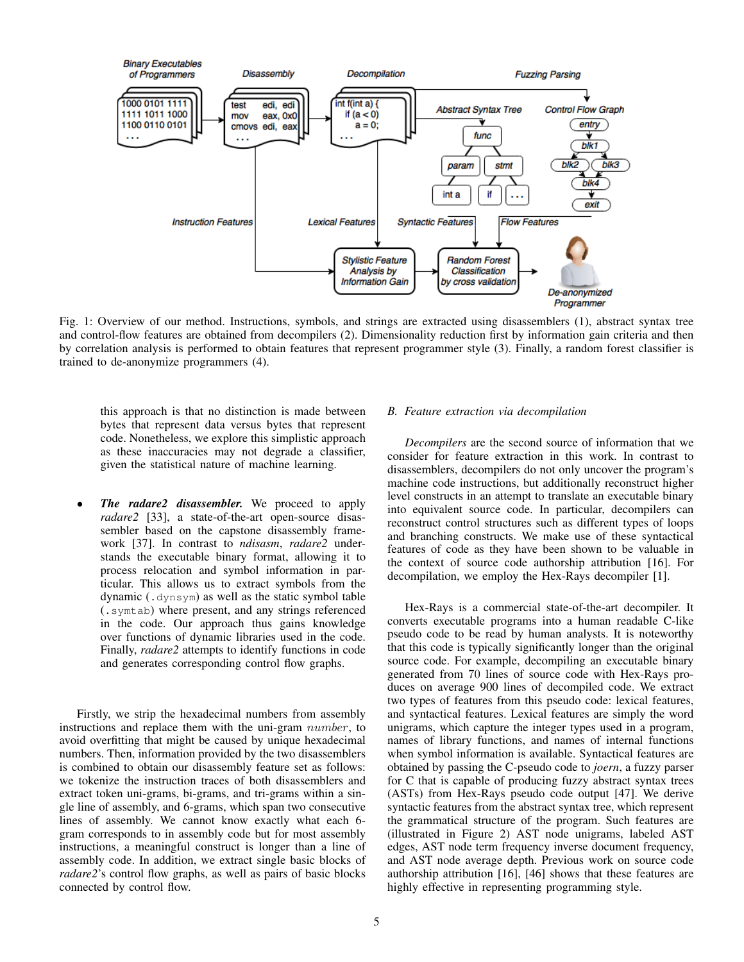

Fig. 1: Overview of our method. Instructions, symbols, and strings are extracted using disassemblers (1), abstract syntax tree and control-flow features are obtained from decompilers (2). Dimensionality reduction first by information gain criteria and then by correlation analysis is performed to obtain features that represent programmer style (3). Finally, a random forest classifier is trained to de-anonymize programmers (4).

this approach is that no distinction is made between bytes that represent data versus bytes that represent code. Nonetheless, we explore this simplistic approach as these inaccuracies may not degrade a classifier, given the statistical nature of machine learning.

*The radare2 disassembler.* We proceed to apply *radare2* [33], a state-of-the-art open-source disassembler based on the capstone disassembly framework [37]. In contrast to *ndisasm*, *radare2* understands the executable binary format, allowing it to process relocation and symbol information in particular. This allows us to extract symbols from the dynamic (.dynsym) as well as the static symbol table (.symtab) where present, and any strings referenced in the code. Our approach thus gains knowledge over functions of dynamic libraries used in the code. Finally, *radare2* attempts to identify functions in code and generates corresponding control flow graphs.

Firstly, we strip the hexadecimal numbers from assembly instructions and replace them with the uni-gram *number*, to avoid overfitting that might be caused by unique hexadecimal numbers. Then, information provided by the two disassemblers is combined to obtain our disassembly feature set as follows: we tokenize the instruction traces of both disassemblers and extract token uni-grams, bi-grams, and tri-grams within a single line of assembly, and 6-grams, which span two consecutive lines of assembly. We cannot know exactly what each 6 gram corresponds to in assembly code but for most assembly instructions, a meaningful construct is longer than a line of assembly code. In addition, we extract single basic blocks of *radare2*'s control flow graphs, as well as pairs of basic blocks connected by control flow.

#### *B. Feature extraction via decompilation*

*Decompilers* are the second source of information that we consider for feature extraction in this work. In contrast to disassemblers, decompilers do not only uncover the program's machine code instructions, but additionally reconstruct higher level constructs in an attempt to translate an executable binary into equivalent source code. In particular, decompilers can reconstruct control structures such as different types of loops and branching constructs. We make use of these syntactical features of code as they have been shown to be valuable in the context of source code authorship attribution [16]. For decompilation, we employ the Hex-Rays decompiler [1].

Hex-Rays is a commercial state-of-the-art decompiler. It converts executable programs into a human readable C-like pseudo code to be read by human analysts. It is noteworthy that this code is typically significantly longer than the original source code. For example, decompiling an executable binary generated from 70 lines of source code with Hex-Rays produces on average 900 lines of decompiled code. We extract two types of features from this pseudo code: lexical features, and syntactical features. Lexical features are simply the word unigrams, which capture the integer types used in a program, names of library functions, and names of internal functions when symbol information is available. Syntactical features are obtained by passing the C-pseudo code to *joern*, a fuzzy parser for C that is capable of producing fuzzy abstract syntax trees (ASTs) from Hex-Rays pseudo code output [47]. We derive syntactic features from the abstract syntax tree, which represent the grammatical structure of the program. Such features are (illustrated in Figure 2) AST node unigrams, labeled AST edges, AST node term frequency inverse document frequency, and AST node average depth. Previous work on source code authorship attribution [16], [46] shows that these features are highly effective in representing programming style.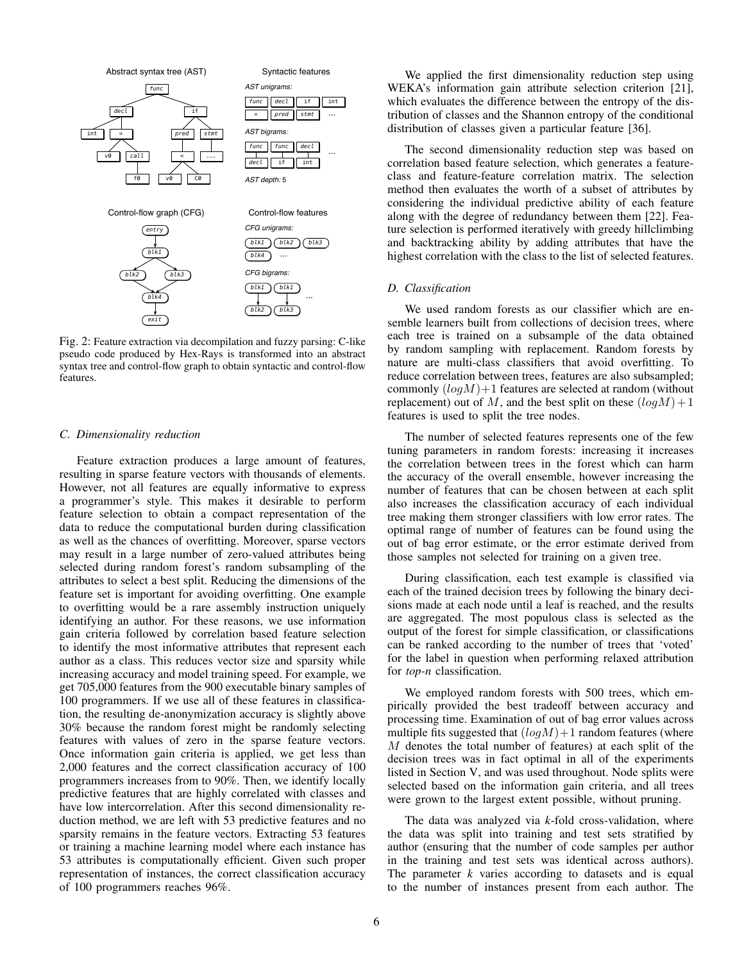

Fig. 2: Feature extraction via decompilation and fuzzy parsing: C-like pseudo code produced by Hex-Rays is transformed into an abstract syntax tree and control-flow graph to obtain syntactic and control-flow features.

#### *C. Dimensionality reduction*

Feature extraction produces a large amount of features, resulting in sparse feature vectors with thousands of elements. However, not all features are equally informative to express a programmer's style. This makes it desirable to perform feature selection to obtain a compact representation of the data to reduce the computational burden during classification as well as the chances of overfitting. Moreover, sparse vectors may result in a large number of zero-valued attributes being selected during random forest's random subsampling of the attributes to select a best split. Reducing the dimensions of the feature set is important for avoiding overfitting. One example to overfitting would be a rare assembly instruction uniquely identifying an author. For these reasons, we use information gain criteria followed by correlation based feature selection to identify the most informative attributes that represent each author as a class. This reduces vector size and sparsity while increasing accuracy and model training speed. For example, we get 705,000 features from the 900 executable binary samples of 100 programmers. If we use all of these features in classification, the resulting de-anonymization accuracy is slightly above 30% because the random forest might be randomly selecting features with values of zero in the sparse feature vectors. Once information gain criteria is applied, we get less than 2,000 features and the correct classification accuracy of 100 programmers increases from to 90%. Then, we identify locally predictive features that are highly correlated with classes and have low intercorrelation. After this second dimensionality reduction method, we are left with 53 predictive features and no sparsity remains in the feature vectors. Extracting 53 features or training a machine learning model where each instance has 53 attributes is computationally efficient. Given such proper representation of instances, the correct classification accuracy of 100 programmers reaches 96%.

We applied the first dimensionality reduction step using WEKA's information gain attribute selection criterion [21], which evaluates the difference between the entropy of the distribution of classes and the Shannon entropy of the conditional distribution of classes given a particular feature [36].

The second dimensionality reduction step was based on correlation based feature selection, which generates a featureclass and feature-feature correlation matrix. The selection method then evaluates the worth of a subset of attributes by considering the individual predictive ability of each feature along with the degree of redundancy between them [22]. Feature selection is performed iteratively with greedy hillclimbing and backtracking ability by adding attributes that have the highest correlation with the class to the list of selected features.

#### *D. Classification*

We used random forests as our classifier which are ensemble learners built from collections of decision trees, where each tree is trained on a subsample of the data obtained by random sampling with replacement. Random forests by nature are multi-class classifiers that avoid overfitting. To reduce correlation between trees, features are also subsampled; commonly  $(log M) + 1$  features are selected at random (without replacement) out of M, and the best split on these  $(log M) + 1$ features is used to split the tree nodes.

The number of selected features represents one of the few tuning parameters in random forests: increasing it increases the correlation between trees in the forest which can harm the accuracy of the overall ensemble, however increasing the number of features that can be chosen between at each split also increases the classification accuracy of each individual tree making them stronger classifiers with low error rates. The optimal range of number of features can be found using the out of bag error estimate, or the error estimate derived from those samples not selected for training on a given tree.

During classification, each test example is classified via each of the trained decision trees by following the binary decisions made at each node until a leaf is reached, and the results are aggregated. The most populous class is selected as the output of the forest for simple classification, or classifications can be ranked according to the number of trees that 'voted' for the label in question when performing relaxed attribution for *top-n* classification.

We employed random forests with 500 trees, which empirically provided the best tradeoff between accuracy and processing time. Examination of out of bag error values across multiple fits suggested that  $(log M)+1$  random features (where M denotes the total number of features) at each split of the decision trees was in fact optimal in all of the experiments listed in Section V, and was used throughout. Node splits were selected based on the information gain criteria, and all trees were grown to the largest extent possible, without pruning.

The data was analyzed via *k*-fold cross-validation, where the data was split into training and test sets stratified by author (ensuring that the number of code samples per author in the training and test sets was identical across authors). The parameter *k* varies according to datasets and is equal to the number of instances present from each author. The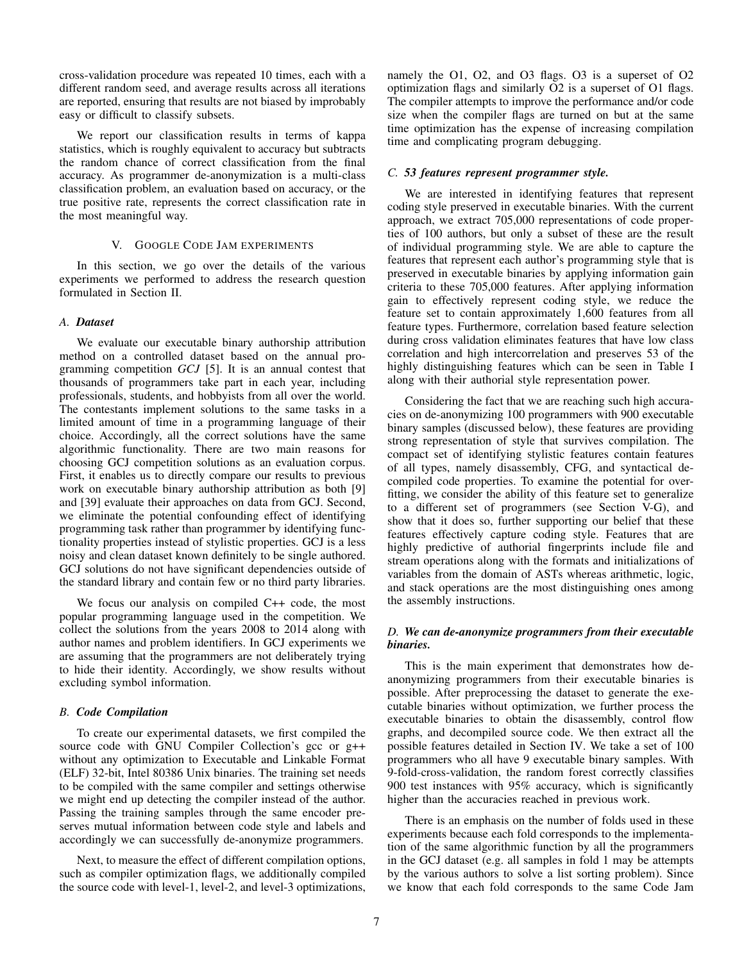cross-validation procedure was repeated 10 times, each with a different random seed, and average results across all iterations are reported, ensuring that results are not biased by improbably easy or difficult to classify subsets.

We report our classification results in terms of kappa statistics, which is roughly equivalent to accuracy but subtracts the random chance of correct classification from the final accuracy. As programmer de-anonymization is a multi-class classification problem, an evaluation based on accuracy, or the true positive rate, represents the correct classification rate in the most meaningful way.

# V. GOOGLE CODE JAM EXPERIMENTS

In this section, we go over the details of the various experiments we performed to address the research question formulated in Section II.

## *A. Dataset*

We evaluate our executable binary authorship attribution method on a controlled dataset based on the annual programming competition *GCJ* [5]. It is an annual contest that thousands of programmers take part in each year, including professionals, students, and hobbyists from all over the world. The contestants implement solutions to the same tasks in a limited amount of time in a programming language of their choice. Accordingly, all the correct solutions have the same algorithmic functionality. There are two main reasons for choosing GCJ competition solutions as an evaluation corpus. First, it enables us to directly compare our results to previous work on executable binary authorship attribution as both [9] and [39] evaluate their approaches on data from GCJ. Second, we eliminate the potential confounding effect of identifying programming task rather than programmer by identifying functionality properties instead of stylistic properties. GCJ is a less noisy and clean dataset known definitely to be single authored. GCJ solutions do not have significant dependencies outside of the standard library and contain few or no third party libraries.

We focus our analysis on compiled C++ code, the most popular programming language used in the competition. We collect the solutions from the years 2008 to 2014 along with author names and problem identifiers. In GCJ experiments we are assuming that the programmers are not deliberately trying to hide their identity. Accordingly, we show results without excluding symbol information.

## *B. Code Compilation*

To create our experimental datasets, we first compiled the source code with GNU Compiler Collection's gcc or g++ without any optimization to Executable and Linkable Format (ELF) 32-bit, Intel 80386 Unix binaries. The training set needs to be compiled with the same compiler and settings otherwise we might end up detecting the compiler instead of the author. Passing the training samples through the same encoder preserves mutual information between code style and labels and accordingly we can successfully de-anonymize programmers.

Next, to measure the effect of different compilation options, such as compiler optimization flags, we additionally compiled the source code with level-1, level-2, and level-3 optimizations, namely the O1, O2, and O3 flags. O3 is a superset of O2 optimization flags and similarly O2 is a superset of O1 flags. The compiler attempts to improve the performance and/or code size when the compiler flags are turned on but at the same time optimization has the expense of increasing compilation time and complicating program debugging.

#### *C. 53 features represent programmer style.*

We are interested in identifying features that represent coding style preserved in executable binaries. With the current approach, we extract 705,000 representations of code properties of 100 authors, but only a subset of these are the result of individual programming style. We are able to capture the features that represent each author's programming style that is preserved in executable binaries by applying information gain criteria to these 705,000 features. After applying information gain to effectively represent coding style, we reduce the feature set to contain approximately 1,600 features from all feature types. Furthermore, correlation based feature selection during cross validation eliminates features that have low class correlation and high intercorrelation and preserves 53 of the highly distinguishing features which can be seen in Table I along with their authorial style representation power.

Considering the fact that we are reaching such high accuracies on de-anonymizing 100 programmers with 900 executable binary samples (discussed below), these features are providing strong representation of style that survives compilation. The compact set of identifying stylistic features contain features of all types, namely disassembly, CFG, and syntactical decompiled code properties. To examine the potential for overfitting, we consider the ability of this feature set to generalize to a different set of programmers (see Section V-G), and show that it does so, further supporting our belief that these features effectively capture coding style. Features that are highly predictive of authorial fingerprints include file and stream operations along with the formats and initializations of variables from the domain of ASTs whereas arithmetic, logic, and stack operations are the most distinguishing ones among the assembly instructions.

## *D. We can de-anonymize programmers from their executable binaries.*

This is the main experiment that demonstrates how deanonymizing programmers from their executable binaries is possible. After preprocessing the dataset to generate the executable binaries without optimization, we further process the executable binaries to obtain the disassembly, control flow graphs, and decompiled source code. We then extract all the possible features detailed in Section IV. We take a set of 100 programmers who all have 9 executable binary samples. With 9-fold-cross-validation, the random forest correctly classifies 900 test instances with 95% accuracy, which is significantly higher than the accuracies reached in previous work.

There is an emphasis on the number of folds used in these experiments because each fold corresponds to the implementation of the same algorithmic function by all the programmers in the GCJ dataset (e.g. all samples in fold 1 may be attempts by the various authors to solve a list sorting problem). Since we know that each fold corresponds to the same Code Jam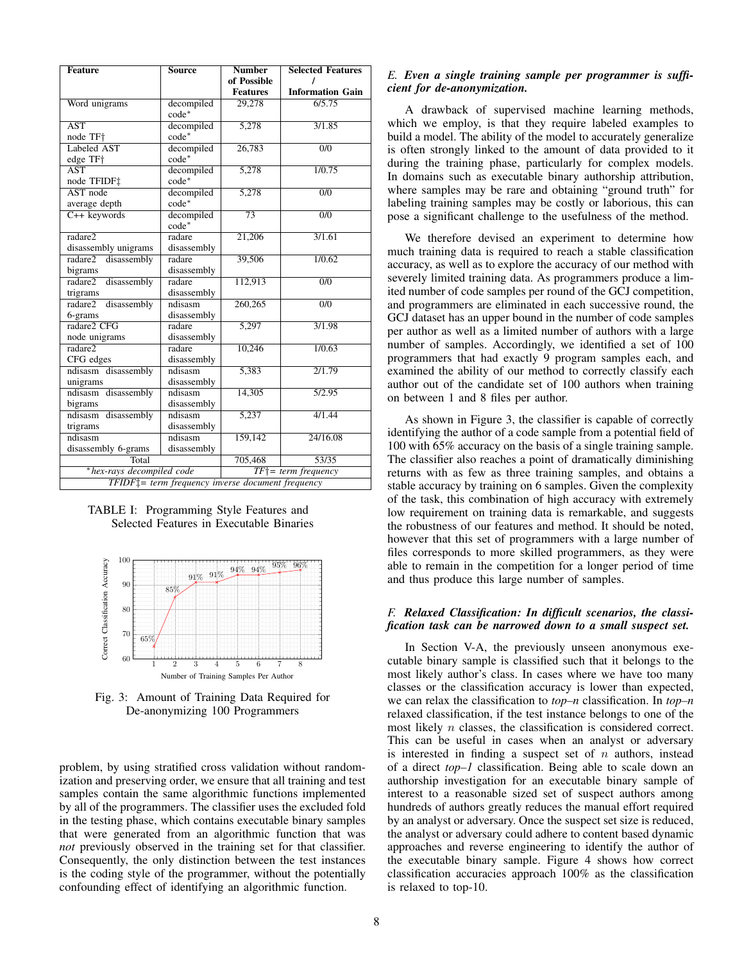| <b>Feature</b>                                                 | <b>Source</b>         | <b>Number</b>         | <b>Selected Features</b> |  |
|----------------------------------------------------------------|-----------------------|-----------------------|--------------------------|--|
|                                                                |                       | of Possible           |                          |  |
|                                                                |                       | <b>Features</b>       | <b>Information Gain</b>  |  |
| Word unigrams                                                  | decompiled<br>$code*$ | 29,278                | 6/5.75                   |  |
| <b>AST</b>                                                     | decompiled            | 5,278                 | 3/1.85                   |  |
| node TF+                                                       | $code*$               |                       |                          |  |
| Labeled AST                                                    | decompiled            | 26,783                | $\overline{0/0}$         |  |
| edge TF+                                                       | $code*$               |                       |                          |  |
| $\overline{\text{AST}}$                                        | decompiled            | 5,278                 | 1/0.75                   |  |
| node TFIDF‡                                                    | $code*$               |                       |                          |  |
| AST node                                                       | decompiled            | 5,278                 | $\overline{0/0}$         |  |
| average depth                                                  | $code*$               |                       |                          |  |
| $C++$ keywords                                                 | decompiled            | $\overline{73}$       | $\overline{0/0}$         |  |
|                                                                | $code*$               |                       |                          |  |
| radare2                                                        | radare                | 21,206                | 3/1.61                   |  |
| disassembly unigrams                                           | disassembly           |                       |                          |  |
| radare2<br>disassembly                                         | radare                | 39,506                | 1/0.62                   |  |
| bigrams                                                        | disassembly           |                       |                          |  |
| disassembly<br>radare2                                         | radare                | 112,913               | $\overline{0/0}$         |  |
| trigrams                                                       | disassembly           |                       |                          |  |
| disassembly<br>radare2                                         | ndisasm               | 260,265               | $\overline{0/0}$         |  |
| 6-grams                                                        | disassembly           |                       |                          |  |
| radare2 CFG                                                    | radare                | 5,297                 | 3/1.98                   |  |
| node unigrams                                                  | disassembly           |                       |                          |  |
| radare <sub>2</sub>                                            | radare                | 10,246                | 1/0.63                   |  |
| CFG edges                                                      | disassembly           |                       |                          |  |
| ndisasm disassembly                                            | ndisasm               | 5,383                 | 2/1.79                   |  |
| unigrams                                                       | disassembly           |                       |                          |  |
| ndisasm disassembly                                            | ndisasm               | 14,305                | 5/2.95                   |  |
| bigrams                                                        | disassembly           |                       |                          |  |
| ndisasm disassembly                                            | ndisasm               | 5,237                 | 4/1.44                   |  |
| trigrams                                                       | disassembly           |                       |                          |  |
| ndisasm                                                        | ndisasm               | 159,142               | 24/16.08                 |  |
| disassembly 6-grams                                            | disassembly           |                       |                          |  |
| Total                                                          |                       | 705,468               | 53/35                    |  |
| *hex-rays decompiled code                                      |                       | $TF$ = term frequency |                          |  |
| TFIDF <sup>1</sup> = term frequency inverse document frequency |                       |                       |                          |  |

TABLE I: Programming Style Features and Selected Features in Executable Binaries



Fig. 3: Amount of Training Data Required for De-anonymizing 100 Programmers

problem, by using stratified cross validation without randomization and preserving order, we ensure that all training and test samples contain the same algorithmic functions implemented by all of the programmers. The classifier uses the excluded fold in the testing phase, which contains executable binary samples that were generated from an algorithmic function that was *not* previously observed in the training set for that classifier. Consequently, the only distinction between the test instances is the coding style of the programmer, without the potentially confounding effect of identifying an algorithmic function.

# *E. Even a single training sample per programmer is sufficient for de-anonymization.*

A drawback of supervised machine learning methods, which we employ, is that they require labeled examples to build a model. The ability of the model to accurately generalize is often strongly linked to the amount of data provided to it during the training phase, particularly for complex models. In domains such as executable binary authorship attribution, where samples may be rare and obtaining "ground truth" for labeling training samples may be costly or laborious, this can pose a significant challenge to the usefulness of the method.

We therefore devised an experiment to determine how much training data is required to reach a stable classification accuracy, as well as to explore the accuracy of our method with severely limited training data. As programmers produce a limited number of code samples per round of the GCJ competition, and programmers are eliminated in each successive round, the GCJ dataset has an upper bound in the number of code samples per author as well as a limited number of authors with a large number of samples. Accordingly, we identified a set of 100 programmers that had exactly 9 program samples each, and examined the ability of our method to correctly classify each author out of the candidate set of 100 authors when training on between 1 and 8 files per author.

As shown in Figure 3, the classifier is capable of correctly identifying the author of a code sample from a potential field of 100 with 65% accuracy on the basis of a single training sample. The classifier also reaches a point of dramatically diminishing returns with as few as three training samples, and obtains a stable accuracy by training on 6 samples. Given the complexity of the task, this combination of high accuracy with extremely low requirement on training data is remarkable, and suggests the robustness of our features and method. It should be noted, however that this set of programmers with a large number of files corresponds to more skilled programmers, as they were able to remain in the competition for a longer period of time and thus produce this large number of samples.

## *F. Relaxed Classification: In difficult scenarios, the classification task can be narrowed down to a small suspect set.*

In Section V-A, the previously unseen anonymous executable binary sample is classified such that it belongs to the most likely author's class. In cases where we have too many classes or the classification accuracy is lower than expected, we can relax the classification to *top–n* classification. In *top–n* relaxed classification, if the test instance belongs to one of the most likely n classes, the classification is considered correct. This can be useful in cases when an analyst or adversary is interested in finding a suspect set of  $n$  authors, instead of a direct *top–1* classification. Being able to scale down an authorship investigation for an executable binary sample of interest to a reasonable sized set of suspect authors among hundreds of authors greatly reduces the manual effort required by an analyst or adversary. Once the suspect set size is reduced, the analyst or adversary could adhere to content based dynamic approaches and reverse engineering to identify the author of the executable binary sample. Figure 4 shows how correct classification accuracies approach 100% as the classification is relaxed to top-10.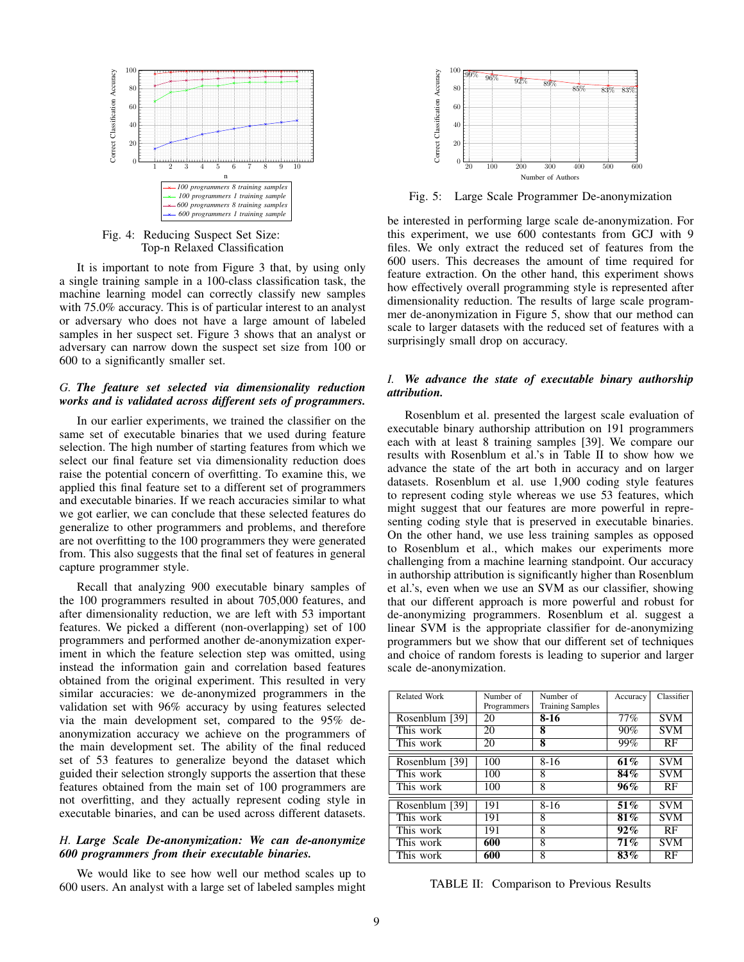

Fig. 4: Reducing Suspect Set Size: Top-n Relaxed Classification

It is important to note from Figure 3 that, by using only a single training sample in a 100-class classification task, the machine learning model can correctly classify new samples with 75.0% accuracy. This is of particular interest to an analyst or adversary who does not have a large amount of labeled samples in her suspect set. Figure 3 shows that an analyst or adversary can narrow down the suspect set size from 100 or 600 to a significantly smaller set.

## *G. The feature set selected via dimensionality reduction works and is validated across different sets of programmers.*

In our earlier experiments, we trained the classifier on the same set of executable binaries that we used during feature selection. The high number of starting features from which we select our final feature set via dimensionality reduction does raise the potential concern of overfitting. To examine this, we applied this final feature set to a different set of programmers and executable binaries. If we reach accuracies similar to what we got earlier, we can conclude that these selected features do generalize to other programmers and problems, and therefore are not overfitting to the 100 programmers they were generated from. This also suggests that the final set of features in general capture programmer style.

Recall that analyzing 900 executable binary samples of the 100 programmers resulted in about 705,000 features, and after dimensionality reduction, we are left with 53 important features. We picked a different (non-overlapping) set of 100 programmers and performed another de-anonymization experiment in which the feature selection step was omitted, using instead the information gain and correlation based features obtained from the original experiment. This resulted in very similar accuracies: we de-anonymized programmers in the validation set with 96% accuracy by using features selected via the main development set, compared to the 95% deanonymization accuracy we achieve on the programmers of the main development set. The ability of the final reduced set of 53 features to generalize beyond the dataset which guided their selection strongly supports the assertion that these features obtained from the main set of 100 programmers are not overfitting, and they actually represent coding style in executable binaries, and can be used across different datasets.

# *H. Large Scale De-anonymization: We can de-anonymize 600 programmers from their executable binaries.*

We would like to see how well our method scales up to 600 users. An analyst with a large set of labeled samples might



Fig. 5: Large Scale Programmer De-anonymization

be interested in performing large scale de-anonymization. For this experiment, we use 600 contestants from GCJ with 9 files. We only extract the reduced set of features from the 600 users. This decreases the amount of time required for feature extraction. On the other hand, this experiment shows how effectively overall programming style is represented after dimensionality reduction. The results of large scale programmer de-anonymization in Figure 5, show that our method can scale to larger datasets with the reduced set of features with a surprisingly small drop on accuracy.

## *I. We advance the state of executable binary authorship attribution.*

Rosenblum et al. presented the largest scale evaluation of executable binary authorship attribution on 191 programmers each with at least 8 training samples [39]. We compare our results with Rosenblum et al.'s in Table II to show how we advance the state of the art both in accuracy and on larger datasets. Rosenblum et al. use 1,900 coding style features to represent coding style whereas we use 53 features, which might suggest that our features are more powerful in representing coding style that is preserved in executable binaries. On the other hand, we use less training samples as opposed to Rosenblum et al., which makes our experiments more challenging from a machine learning standpoint. Our accuracy in authorship attribution is significantly higher than Rosenblum et al.'s, even when we use an SVM as our classifier, showing that our different approach is more powerful and robust for de-anonymizing programmers. Rosenblum et al. suggest a linear SVM is the appropriate classifier for de-anonymizing programmers but we show that our different set of techniques and choice of random forests is leading to superior and larger scale de-anonymization.

| Related Work   | Number of   | Number of               | Accuracy | Classifier |  |
|----------------|-------------|-------------------------|----------|------------|--|
|                | Programmers | <b>Training Samples</b> |          |            |  |
| Rosenblum [39] | 20          | 8-16                    | 77%      | <b>SVM</b> |  |
| This work      | 20          | 8                       | 90%      | <b>SVM</b> |  |
| This work      | 20          | 8                       | 99%      | RF         |  |
|                |             |                         |          |            |  |
| Rosenblum [39] | 100         | $8 - 16$                | 61%      | <b>SVM</b> |  |
| This work      | 100         | 8                       | 84%      | <b>SVM</b> |  |
| This work      | 100         | 8                       | 96%      | RF         |  |
|                |             |                         |          |            |  |
| Rosenblum [39] | 191         | $8 - 16$                | 51%      | <b>SVM</b> |  |
| This work      | 191         | 8                       | 81%      | <b>SVM</b> |  |
| This work      | 191         | 8                       | 92%      | RF         |  |
| This work      | 600         | 8                       | 71%      | <b>SVM</b> |  |
| This work      | 600         | 8                       | 83%      | RF         |  |

TABLE II: Comparison to Previous Results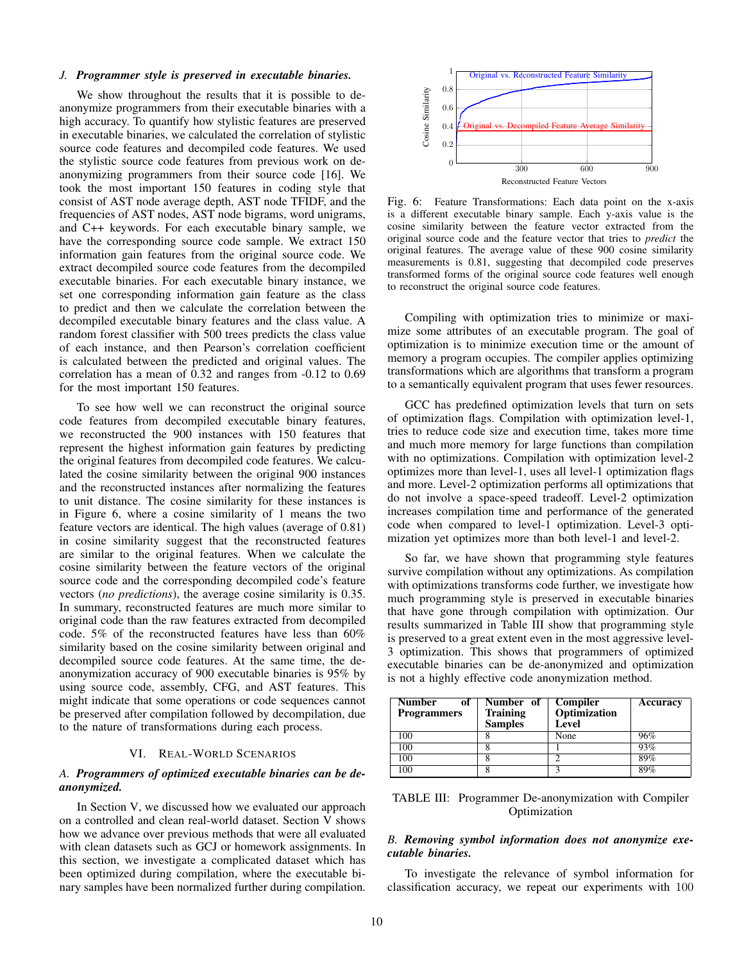#### *J. Programmer style is preserved in executable binaries.*

We show throughout the results that it is possible to deanonymize programmers from their executable binaries with a high accuracy. To quantify how stylistic features are preserved in executable binaries, we calculated the correlation of stylistic source code features and decompiled code features. We used the stylistic source code features from previous work on deanonymizing programmers from their source code [16]. We took the most important 150 features in coding style that consist of AST node average depth, AST node TFIDF, and the frequencies of AST nodes, AST node bigrams, word unigrams, and C++ keywords. For each executable binary sample, we have the corresponding source code sample. We extract 150 information gain features from the original source code. We extract decompiled source code features from the decompiled executable binaries. For each executable binary instance, we set one corresponding information gain feature as the class to predict and then we calculate the correlation between the decompiled executable binary features and the class value. A random forest classifier with 500 trees predicts the class value of each instance, and then Pearson's correlation coefficient is calculated between the predicted and original values. The correlation has a mean of 0.32 and ranges from -0.12 to 0.69 for the most important 150 features.

To see how well we can reconstruct the original source code features from decompiled executable binary features, we reconstructed the 900 instances with 150 features that represent the highest information gain features by predicting the original features from decompiled code features. We calculated the cosine similarity between the original 900 instances and the reconstructed instances after normalizing the features to unit distance. The cosine similarity for these instances is in Figure 6, where a cosine similarity of 1 means the two feature vectors are identical. The high values (average of 0.81) in cosine similarity suggest that the reconstructed features are similar to the original features. When we calculate the cosine similarity between the feature vectors of the original source code and the corresponding decompiled code's feature vectors (*no predictions*), the average cosine similarity is 0.35. In summary, reconstructed features are much more similar to original code than the raw features extracted from decompiled code. 5% of the reconstructed features have less than 60% similarity based on the cosine similarity between original and decompiled source code features. At the same time, the deanonymization accuracy of 900 executable binaries is 95% by using source code, assembly, CFG, and AST features. This might indicate that some operations or code sequences cannot be preserved after compilation followed by decompilation, due to the nature of transformations during each process.

#### VI. REAL-WORLD SCENARIOS

## *A. Programmers of optimized executable binaries can be deanonymized.*

In Section V, we discussed how we evaluated our approach on a controlled and clean real-world dataset. Section V shows how we advance over previous methods that were all evaluated with clean datasets such as GCJ or homework assignments. In this section, we investigate a complicated dataset which has been optimized during compilation, where the executable binary samples have been normalized further during compilation.



Fig. 6: Feature Transformations: Each data point on the x-axis is a different executable binary sample. Each y-axis value is the cosine similarity between the feature vector extracted from the original source code and the feature vector that tries to *predict* the original features. The average value of these 900 cosine similarity measurements is 0.81, suggesting that decompiled code preserves transformed forms of the original source code features well enough to reconstruct the original source code features.

Compiling with optimization tries to minimize or maximize some attributes of an executable program. The goal of optimization is to minimize execution time or the amount of memory a program occupies. The compiler applies optimizing transformations which are algorithms that transform a program to a semantically equivalent program that uses fewer resources.

GCC has predefined optimization levels that turn on sets of optimization flags. Compilation with optimization level-1, tries to reduce code size and execution time, takes more time and much more memory for large functions than compilation with no optimizations. Compilation with optimization level-2 optimizes more than level-1, uses all level-1 optimization flags and more. Level-2 optimization performs all optimizations that do not involve a space-speed tradeoff. Level-2 optimization increases compilation time and performance of the generated code when compared to level-1 optimization. Level-3 optimization yet optimizes more than both level-1 and level-2.

So far, we have shown that programming style features survive compilation without any optimizations. As compilation with optimizations transforms code further, we investigate how much programming style is preserved in executable binaries that have gone through compilation with optimization. Our results summarized in Table III show that programming style is preserved to a great extent even in the most aggressive level-3 optimization. This shows that programmers of optimized executable binaries can be de-anonymized and optimization is not a highly effective code anonymization method.

| <b>Number</b><br>ot<br><b>Programmers</b> | Number of<br><b>Training</b><br><b>Samples</b> | Compiler<br>Optimization<br>Level | Accuracy |
|-------------------------------------------|------------------------------------------------|-----------------------------------|----------|
| 100                                       |                                                | None                              | 96%      |
| 100                                       |                                                |                                   | 93%      |
| 100                                       |                                                |                                   | 89%      |
| 100                                       |                                                | ◠                                 | 89%      |

TABLE III: Programmer De-anonymization with Compiler Optimization

# *B. Removing symbol information does not anonymize executable binaries.*

To investigate the relevance of symbol information for classification accuracy, we repeat our experiments with 100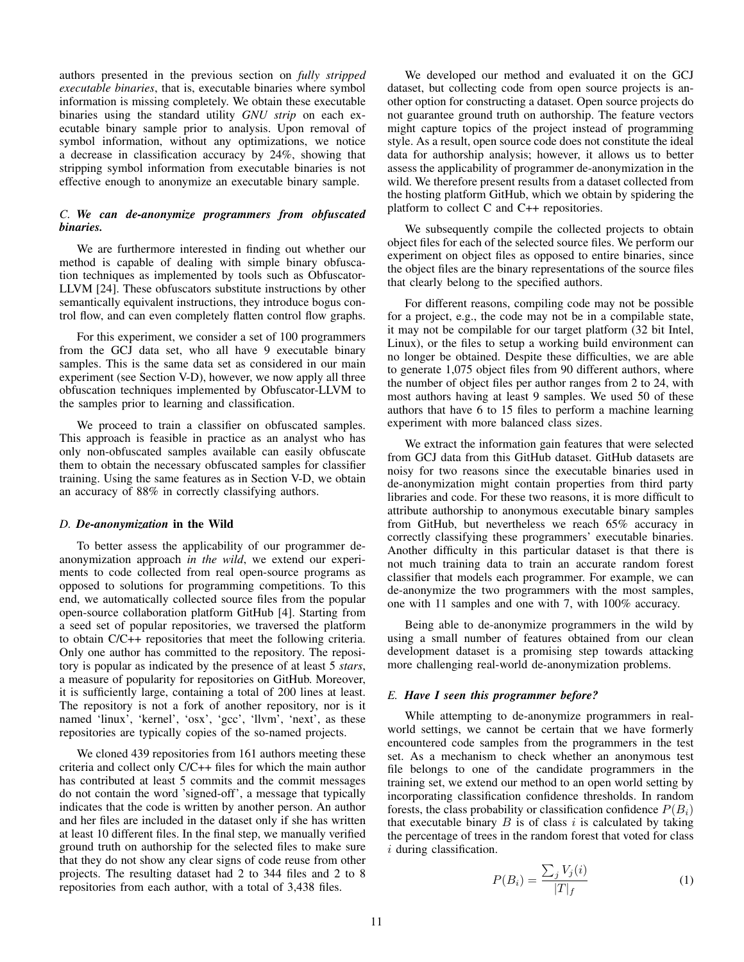authors presented in the previous section on *fully stripped executable binaries*, that is, executable binaries where symbol information is missing completely. We obtain these executable binaries using the standard utility *GNU strip* on each executable binary sample prior to analysis. Upon removal of symbol information, without any optimizations, we notice a decrease in classification accuracy by 24%, showing that stripping symbol information from executable binaries is not effective enough to anonymize an executable binary sample.

# *C. We can de-anonymize programmers from obfuscated binaries.*

We are furthermore interested in finding out whether our method is capable of dealing with simple binary obfuscation techniques as implemented by tools such as Obfuscator-LLVM [24]. These obfuscators substitute instructions by other semantically equivalent instructions, they introduce bogus control flow, and can even completely flatten control flow graphs.

For this experiment, we consider a set of 100 programmers from the GCJ data set, who all have 9 executable binary samples. This is the same data set as considered in our main experiment (see Section V-D), however, we now apply all three obfuscation techniques implemented by Obfuscator-LLVM to the samples prior to learning and classification.

We proceed to train a classifier on obfuscated samples. This approach is feasible in practice as an analyst who has only non-obfuscated samples available can easily obfuscate them to obtain the necessary obfuscated samples for classifier training. Using the same features as in Section V-D, we obtain an accuracy of 88% in correctly classifying authors.

## *D. De-anonymization* in the Wild

To better assess the applicability of our programmer deanonymization approach *in the wild*, we extend our experiments to code collected from real open-source programs as opposed to solutions for programming competitions. To this end, we automatically collected source files from the popular open-source collaboration platform GitHub [4]. Starting from a seed set of popular repositories, we traversed the platform to obtain C/C++ repositories that meet the following criteria. Only one author has committed to the repository. The repository is popular as indicated by the presence of at least 5 *stars*, a measure of popularity for repositories on GitHub. Moreover, it is sufficiently large, containing a total of 200 lines at least. The repository is not a fork of another repository, nor is it named 'linux', 'kernel', 'osx', 'gcc', 'llvm', 'next', as these repositories are typically copies of the so-named projects.

We cloned 439 repositories from 161 authors meeting these criteria and collect only C/C++ files for which the main author has contributed at least 5 commits and the commit messages do not contain the word 'signed-off', a message that typically indicates that the code is written by another person. An author and her files are included in the dataset only if she has written at least 10 different files. In the final step, we manually verified ground truth on authorship for the selected files to make sure that they do not show any clear signs of code reuse from other projects. The resulting dataset had 2 to 344 files and 2 to 8 repositories from each author, with a total of 3,438 files.

We developed our method and evaluated it on the GCJ dataset, but collecting code from open source projects is another option for constructing a dataset. Open source projects do not guarantee ground truth on authorship. The feature vectors might capture topics of the project instead of programming style. As a result, open source code does not constitute the ideal data for authorship analysis; however, it allows us to better assess the applicability of programmer de-anonymization in the wild. We therefore present results from a dataset collected from the hosting platform GitHub, which we obtain by spidering the platform to collect C and C++ repositories.

We subsequently compile the collected projects to obtain object files for each of the selected source files. We perform our experiment on object files as opposed to entire binaries, since the object files are the binary representations of the source files that clearly belong to the specified authors.

For different reasons, compiling code may not be possible for a project, e.g., the code may not be in a compilable state, it may not be compilable for our target platform (32 bit Intel, Linux), or the files to setup a working build environment can no longer be obtained. Despite these difficulties, we are able to generate 1,075 object files from 90 different authors, where the number of object files per author ranges from 2 to 24, with most authors having at least 9 samples. We used 50 of these authors that have 6 to 15 files to perform a machine learning experiment with more balanced class sizes.

We extract the information gain features that were selected from GCJ data from this GitHub dataset. GitHub datasets are noisy for two reasons since the executable binaries used in de-anonymization might contain properties from third party libraries and code. For these two reasons, it is more difficult to attribute authorship to anonymous executable binary samples from GitHub, but nevertheless we reach 65% accuracy in correctly classifying these programmers' executable binaries. Another difficulty in this particular dataset is that there is not much training data to train an accurate random forest classifier that models each programmer. For example, we can de-anonymize the two programmers with the most samples, one with 11 samples and one with 7, with 100% accuracy.

Being able to de-anonymize programmers in the wild by using a small number of features obtained from our clean development dataset is a promising step towards attacking more challenging real-world de-anonymization problems.

## *E. Have I seen this programmer before?*

While attempting to de-anonymize programmers in realworld settings, we cannot be certain that we have formerly encountered code samples from the programmers in the test set. As a mechanism to check whether an anonymous test file belongs to one of the candidate programmers in the training set, we extend our method to an open world setting by incorporating classification confidence thresholds. In random forests, the class probability or classification confidence  $P(B_i)$ that executable binary  $B$  is of class  $i$  is calculated by taking the percentage of trees in the random forest that voted for class i during classification.

$$
P(B_i) = \frac{\sum_j V_j(i)}{|T|_f} \tag{1}
$$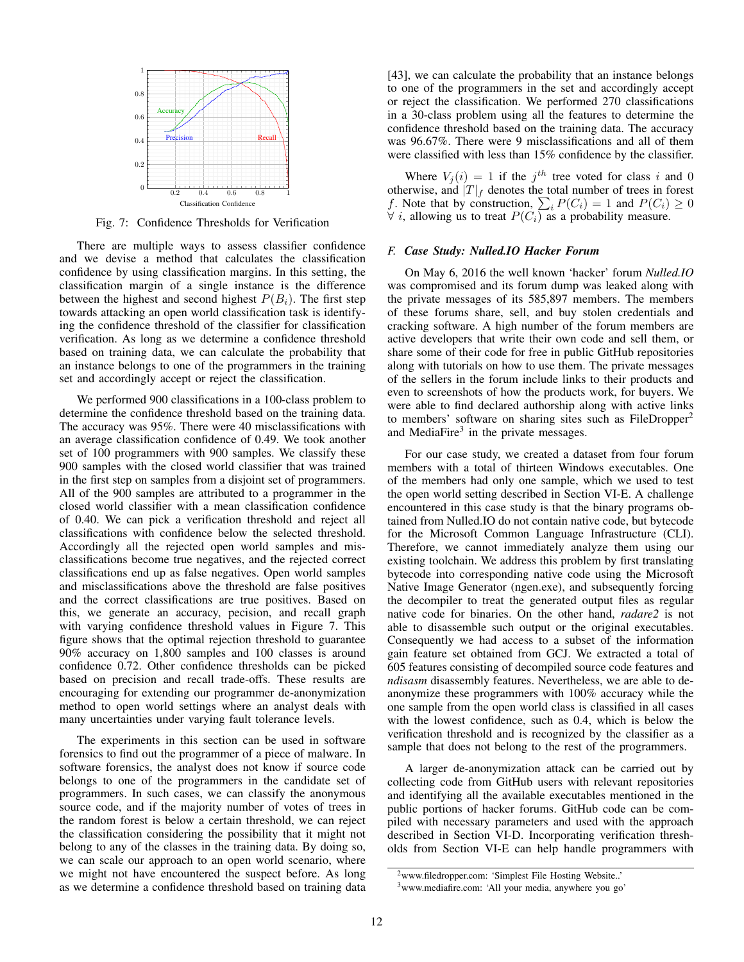

Fig. 7: Confidence Thresholds for Verification

There are multiple ways to assess classifier confidence and we devise a method that calculates the classification confidence by using classification margins. In this setting, the classification margin of a single instance is the difference between the highest and second highest  $P(B_i)$ . The first step towards attacking an open world classification task is identifying the confidence threshold of the classifier for classification verification. As long as we determine a confidence threshold based on training data, we can calculate the probability that an instance belongs to one of the programmers in the training set and accordingly accept or reject the classification.

We performed 900 classifications in a 100-class problem to determine the confidence threshold based on the training data. The accuracy was 95%. There were 40 misclassifications with an average classification confidence of 0.49. We took another set of 100 programmers with 900 samples. We classify these 900 samples with the closed world classifier that was trained in the first step on samples from a disjoint set of programmers. All of the 900 samples are attributed to a programmer in the closed world classifier with a mean classification confidence of 0.40. We can pick a verification threshold and reject all classifications with confidence below the selected threshold. Accordingly all the rejected open world samples and misclassifications become true negatives, and the rejected correct classifications end up as false negatives. Open world samples and misclassifications above the threshold are false positives and the correct classifications are true positives. Based on this, we generate an accuracy, pecision, and recall graph with varying confidence threshold values in Figure 7. This figure shows that the optimal rejection threshold to guarantee 90% accuracy on 1,800 samples and 100 classes is around confidence 0.72. Other confidence thresholds can be picked based on precision and recall trade-offs. These results are encouraging for extending our programmer de-anonymization method to open world settings where an analyst deals with many uncertainties under varying fault tolerance levels.

The experiments in this section can be used in software forensics to find out the programmer of a piece of malware. In software forensics, the analyst does not know if source code belongs to one of the programmers in the candidate set of programmers. In such cases, we can classify the anonymous source code, and if the majority number of votes of trees in the random forest is below a certain threshold, we can reject the classification considering the possibility that it might not belong to any of the classes in the training data. By doing so, we can scale our approach to an open world scenario, where we might not have encountered the suspect before. As long as we determine a confidence threshold based on training data [43], we can calculate the probability that an instance belongs to one of the programmers in the set and accordingly accept or reject the classification. We performed 270 classifications in a 30-class problem using all the features to determine the confidence threshold based on the training data. The accuracy was 96.67%. There were 9 misclassifications and all of them were classified with less than 15% confidence by the classifier.

Where  $V_j(i) = 1$  if the  $j<sup>th</sup>$  tree voted for class i and 0 otherwise, and  $|T|_f$  denotes the total number of trees in forest f. Note that by construction,  $\sum_i P(C_i) = 1$  and  $P(C_i) \ge 0$  $\forall i$ , allowing us to treat  $P(C_i)$  as a probability measure.

## *F. Case Study: Nulled.IO Hacker Forum*

On May 6, 2016 the well known 'hacker' forum *Nulled.IO* was compromised and its forum dump was leaked along with the private messages of its 585,897 members. The members of these forums share, sell, and buy stolen credentials and cracking software. A high number of the forum members are active developers that write their own code and sell them, or share some of their code for free in public GitHub repositories along with tutorials on how to use them. The private messages of the sellers in the forum include links to their products and even to screenshots of how the products work, for buyers. We were able to find declared authorship along with active links to members' software on sharing sites such as FileDropper<sup>2</sup> and MediaFire $3$  in the private messages.

For our case study, we created a dataset from four forum members with a total of thirteen Windows executables. One of the members had only one sample, which we used to test the open world setting described in Section VI-E. A challenge encountered in this case study is that the binary programs obtained from Nulled.IO do not contain native code, but bytecode for the Microsoft Common Language Infrastructure (CLI). Therefore, we cannot immediately analyze them using our existing toolchain. We address this problem by first translating bytecode into corresponding native code using the Microsoft Native Image Generator (ngen.exe), and subsequently forcing the decompiler to treat the generated output files as regular native code for binaries. On the other hand, *radare2* is not able to disassemble such output or the original executables. Consequently we had access to a subset of the information gain feature set obtained from GCJ. We extracted a total of 605 features consisting of decompiled source code features and *ndisasm* disassembly features. Nevertheless, we are able to deanonymize these programmers with 100% accuracy while the one sample from the open world class is classified in all cases with the lowest confidence, such as 0.4, which is below the verification threshold and is recognized by the classifier as a sample that does not belong to the rest of the programmers.

A larger de-anonymization attack can be carried out by collecting code from GitHub users with relevant repositories and identifying all the available executables mentioned in the public portions of hacker forums. GitHub code can be compiled with necessary parameters and used with the approach described in Section VI-D. Incorporating verification thresholds from Section VI-E can help handle programmers with

<sup>2</sup>www.filedropper.com: 'Simplest File Hosting Website..'

<sup>3</sup>www.mediafire.com: 'All your media, anywhere you go'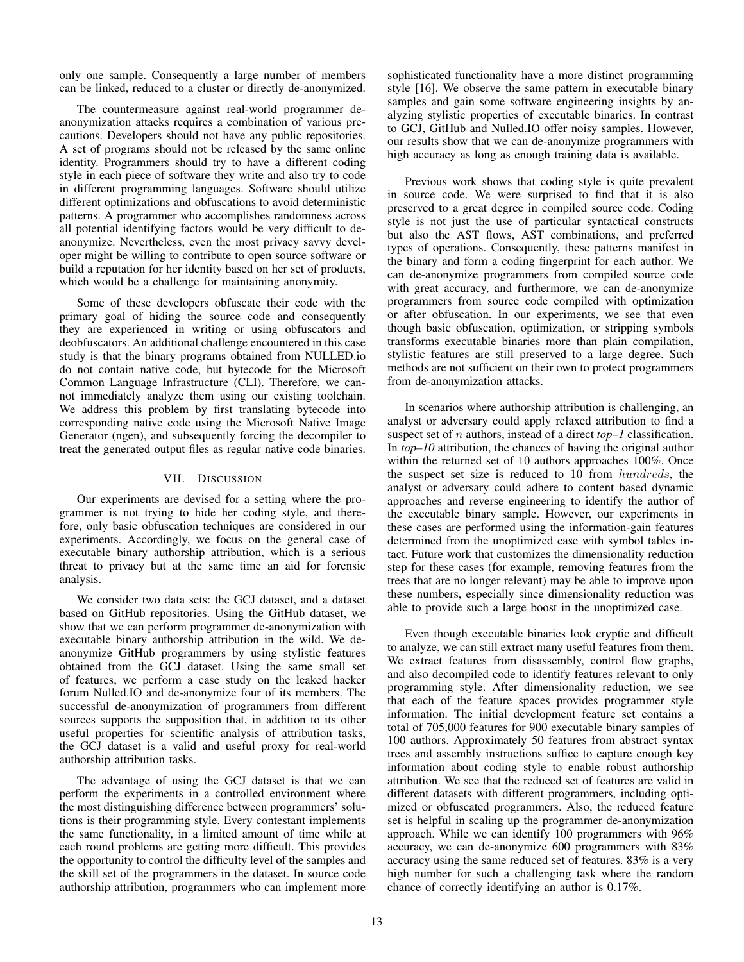only one sample. Consequently a large number of members can be linked, reduced to a cluster or directly de-anonymized.

The countermeasure against real-world programmer deanonymization attacks requires a combination of various precautions. Developers should not have any public repositories. A set of programs should not be released by the same online identity. Programmers should try to have a different coding style in each piece of software they write and also try to code in different programming languages. Software should utilize different optimizations and obfuscations to avoid deterministic patterns. A programmer who accomplishes randomness across all potential identifying factors would be very difficult to deanonymize. Nevertheless, even the most privacy savvy developer might be willing to contribute to open source software or build a reputation for her identity based on her set of products, which would be a challenge for maintaining anonymity.

Some of these developers obfuscate their code with the primary goal of hiding the source code and consequently they are experienced in writing or using obfuscators and deobfuscators. An additional challenge encountered in this case study is that the binary programs obtained from NULLED.io do not contain native code, but bytecode for the Microsoft Common Language Infrastructure (CLI). Therefore, we cannot immediately analyze them using our existing toolchain. We address this problem by first translating bytecode into corresponding native code using the Microsoft Native Image Generator (ngen), and subsequently forcing the decompiler to treat the generated output files as regular native code binaries.

## VII. DISCUSSION

Our experiments are devised for a setting where the programmer is not trying to hide her coding style, and therefore, only basic obfuscation techniques are considered in our experiments. Accordingly, we focus on the general case of executable binary authorship attribution, which is a serious threat to privacy but at the same time an aid for forensic analysis.

We consider two data sets: the GCJ dataset, and a dataset based on GitHub repositories. Using the GitHub dataset, we show that we can perform programmer de-anonymization with executable binary authorship attribution in the wild. We deanonymize GitHub programmers by using stylistic features obtained from the GCJ dataset. Using the same small set of features, we perform a case study on the leaked hacker forum Nulled.IO and de-anonymize four of its members. The successful de-anonymization of programmers from different sources supports the supposition that, in addition to its other useful properties for scientific analysis of attribution tasks, the GCJ dataset is a valid and useful proxy for real-world authorship attribution tasks.

The advantage of using the GCJ dataset is that we can perform the experiments in a controlled environment where the most distinguishing difference between programmers' solutions is their programming style. Every contestant implements the same functionality, in a limited amount of time while at each round problems are getting more difficult. This provides the opportunity to control the difficulty level of the samples and the skill set of the programmers in the dataset. In source code authorship attribution, programmers who can implement more sophisticated functionality have a more distinct programming style [16]. We observe the same pattern in executable binary samples and gain some software engineering insights by analyzing stylistic properties of executable binaries. In contrast to GCJ, GitHub and Nulled.IO offer noisy samples. However, our results show that we can de-anonymize programmers with high accuracy as long as enough training data is available.

Previous work shows that coding style is quite prevalent in source code. We were surprised to find that it is also preserved to a great degree in compiled source code. Coding style is not just the use of particular syntactical constructs but also the AST flows, AST combinations, and preferred types of operations. Consequently, these patterns manifest in the binary and form a coding fingerprint for each author. We can de-anonymize programmers from compiled source code with great accuracy, and furthermore, we can de-anonymize programmers from source code compiled with optimization or after obfuscation. In our experiments, we see that even though basic obfuscation, optimization, or stripping symbols transforms executable binaries more than plain compilation, stylistic features are still preserved to a large degree. Such methods are not sufficient on their own to protect programmers from de-anonymization attacks.

In scenarios where authorship attribution is challenging, an analyst or adversary could apply relaxed attribution to find a suspect set of n authors, instead of a direct *top–1* classification. In *top–10* attribution, the chances of having the original author within the returned set of 10 authors approaches 100%. Once the suspect set size is reduced to 10 from hundreds, the analyst or adversary could adhere to content based dynamic approaches and reverse engineering to identify the author of the executable binary sample. However, our experiments in these cases are performed using the information-gain features determined from the unoptimized case with symbol tables intact. Future work that customizes the dimensionality reduction step for these cases (for example, removing features from the trees that are no longer relevant) may be able to improve upon these numbers, especially since dimensionality reduction was able to provide such a large boost in the unoptimized case.

Even though executable binaries look cryptic and difficult to analyze, we can still extract many useful features from them. We extract features from disassembly, control flow graphs, and also decompiled code to identify features relevant to only programming style. After dimensionality reduction, we see that each of the feature spaces provides programmer style information. The initial development feature set contains a total of 705,000 features for 900 executable binary samples of 100 authors. Approximately 50 features from abstract syntax trees and assembly instructions suffice to capture enough key information about coding style to enable robust authorship attribution. We see that the reduced set of features are valid in different datasets with different programmers, including optimized or obfuscated programmers. Also, the reduced feature set is helpful in scaling up the programmer de-anonymization approach. While we can identify 100 programmers with 96% accuracy, we can de-anonymize 600 programmers with 83% accuracy using the same reduced set of features. 83% is a very high number for such a challenging task where the random chance of correctly identifying an author is 0.17%.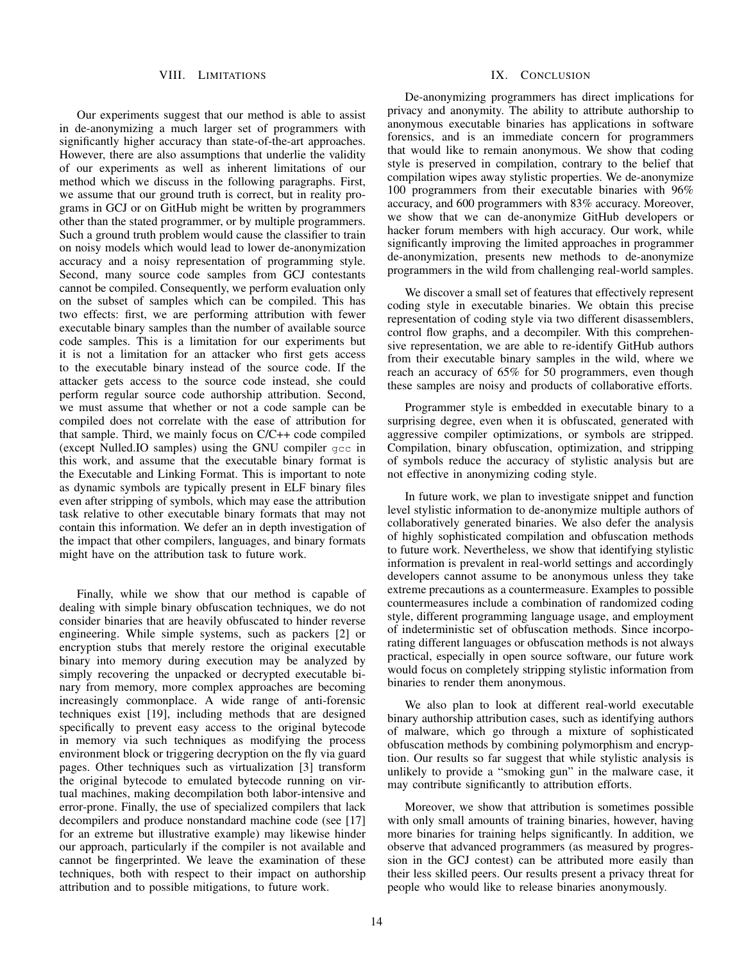#### VIII. LIMITATIONS

Our experiments suggest that our method is able to assist in de-anonymizing a much larger set of programmers with significantly higher accuracy than state-of-the-art approaches. However, there are also assumptions that underlie the validity of our experiments as well as inherent limitations of our method which we discuss in the following paragraphs. First, we assume that our ground truth is correct, but in reality programs in GCJ or on GitHub might be written by programmers other than the stated programmer, or by multiple programmers. Such a ground truth problem would cause the classifier to train on noisy models which would lead to lower de-anonymization accuracy and a noisy representation of programming style. Second, many source code samples from GCJ contestants cannot be compiled. Consequently, we perform evaluation only on the subset of samples which can be compiled. This has two effects: first, we are performing attribution with fewer executable binary samples than the number of available source code samples. This is a limitation for our experiments but it is not a limitation for an attacker who first gets access to the executable binary instead of the source code. If the attacker gets access to the source code instead, she could perform regular source code authorship attribution. Second, we must assume that whether or not a code sample can be compiled does not correlate with the ease of attribution for that sample. Third, we mainly focus on C/C++ code compiled (except Nulled.IO samples) using the GNU compiler gcc in this work, and assume that the executable binary format is the Executable and Linking Format. This is important to note as dynamic symbols are typically present in ELF binary files even after stripping of symbols, which may ease the attribution task relative to other executable binary formats that may not contain this information. We defer an in depth investigation of the impact that other compilers, languages, and binary formats might have on the attribution task to future work.

Finally, while we show that our method is capable of dealing with simple binary obfuscation techniques, we do not consider binaries that are heavily obfuscated to hinder reverse engineering. While simple systems, such as packers [2] or encryption stubs that merely restore the original executable binary into memory during execution may be analyzed by simply recovering the unpacked or decrypted executable binary from memory, more complex approaches are becoming increasingly commonplace. A wide range of anti-forensic techniques exist [19], including methods that are designed specifically to prevent easy access to the original bytecode in memory via such techniques as modifying the process environment block or triggering decryption on the fly via guard pages. Other techniques such as virtualization [3] transform the original bytecode to emulated bytecode running on virtual machines, making decompilation both labor-intensive and error-prone. Finally, the use of specialized compilers that lack decompilers and produce nonstandard machine code (see [17] for an extreme but illustrative example) may likewise hinder our approach, particularly if the compiler is not available and cannot be fingerprinted. We leave the examination of these techniques, both with respect to their impact on authorship attribution and to possible mitigations, to future work.

## IX. CONCLUSION

De-anonymizing programmers has direct implications for privacy and anonymity. The ability to attribute authorship to anonymous executable binaries has applications in software forensics, and is an immediate concern for programmers that would like to remain anonymous. We show that coding style is preserved in compilation, contrary to the belief that compilation wipes away stylistic properties. We de-anonymize 100 programmers from their executable binaries with 96% accuracy, and 600 programmers with 83% accuracy. Moreover, we show that we can de-anonymize GitHub developers or hacker forum members with high accuracy. Our work, while significantly improving the limited approaches in programmer de-anonymization, presents new methods to de-anonymize programmers in the wild from challenging real-world samples.

We discover a small set of features that effectively represent coding style in executable binaries. We obtain this precise representation of coding style via two different disassemblers, control flow graphs, and a decompiler. With this comprehensive representation, we are able to re-identify GitHub authors from their executable binary samples in the wild, where we reach an accuracy of 65% for 50 programmers, even though these samples are noisy and products of collaborative efforts.

Programmer style is embedded in executable binary to a surprising degree, even when it is obfuscated, generated with aggressive compiler optimizations, or symbols are stripped. Compilation, binary obfuscation, optimization, and stripping of symbols reduce the accuracy of stylistic analysis but are not effective in anonymizing coding style.

In future work, we plan to investigate snippet and function level stylistic information to de-anonymize multiple authors of collaboratively generated binaries. We also defer the analysis of highly sophisticated compilation and obfuscation methods to future work. Nevertheless, we show that identifying stylistic information is prevalent in real-world settings and accordingly developers cannot assume to be anonymous unless they take extreme precautions as a countermeasure. Examples to possible countermeasures include a combination of randomized coding style, different programming language usage, and employment of indeterministic set of obfuscation methods. Since incorporating different languages or obfuscation methods is not always practical, especially in open source software, our future work would focus on completely stripping stylistic information from binaries to render them anonymous.

We also plan to look at different real-world executable binary authorship attribution cases, such as identifying authors of malware, which go through a mixture of sophisticated obfuscation methods by combining polymorphism and encryption. Our results so far suggest that while stylistic analysis is unlikely to provide a "smoking gun" in the malware case, it may contribute significantly to attribution efforts.

Moreover, we show that attribution is sometimes possible with only small amounts of training binaries, however, having more binaries for training helps significantly. In addition, we observe that advanced programmers (as measured by progression in the GCJ contest) can be attributed more easily than their less skilled peers. Our results present a privacy threat for people who would like to release binaries anonymously.